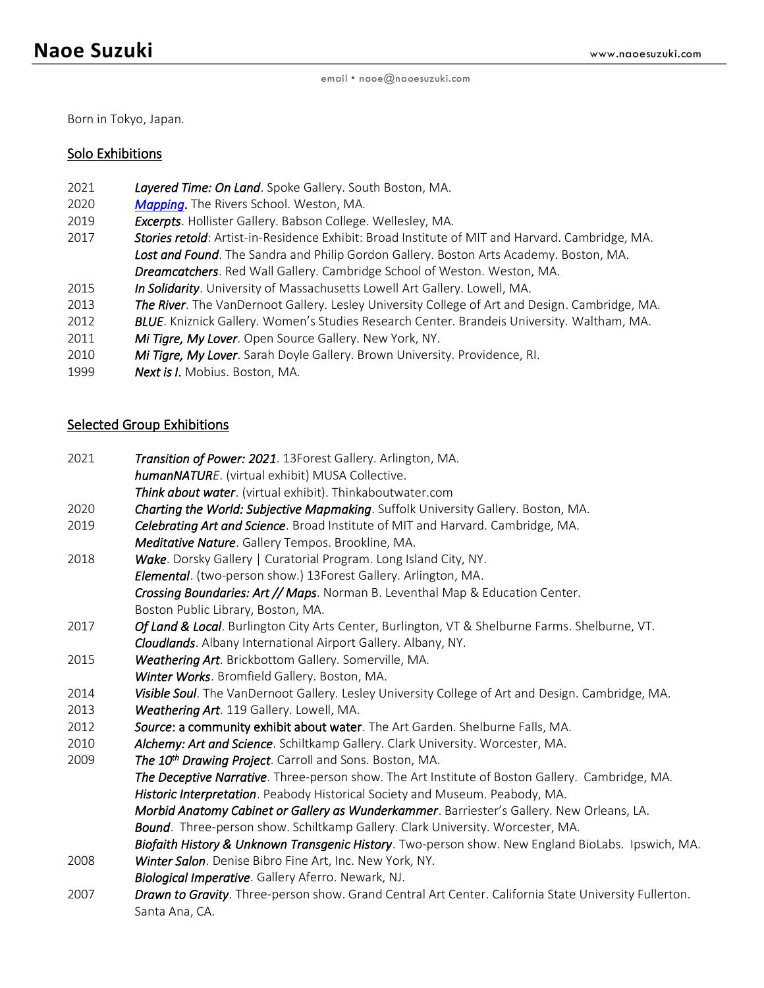Born in Tokyo, Japan.

### Solo Exhibitions

- 2021 *Layered Time: On Land*. Spoke Gallery. South Boston, MA.
- 2020 *[Mapping](https://naoesuzuki.wixsite.com/mapping)*. The Rivers School. Weston, MA.
- 2019 *Excerpts*. Hollister Gallery. Babson College. Wellesley, MA.
- 2017 *Stories retold*: Artist-in-Residence Exhibit: Broad Institute of MIT and Harvard. Cambridge, MA. *Lost and Found*. The Sandra and Philip Gordon Gallery. Boston Arts Academy. Boston, MA. *Dreamcatchers*. Red Wall Gallery. Cambridge School of Weston. Weston, MA.
- 2015 *In Solidarity*. University of Massachusetts Lowell Art Gallery. Lowell, MA.
- 2013 *The River*. The VanDernoot Gallery. Lesley University College of Art and Design. Cambridge, MA.
- 2012 *BLUE*. Kniznick Gallery. Women's Studies Research Center. Brandeis University. Waltham, MA.
- 2011 *Mi Tigre, My Lover*. Open Source Gallery. New York, NY.
- 2010 *Mi Tigre, My Lover*. Sarah Doyle Gallery. Brown University. Providence, RI.
- 1999 *Next is I*. Mobius. Boston, MA.

# Selected Group Exhibitions

- 2021 *Transition of Power: 2021*. 13Forest Gallery. Arlington, MA. *humanNATURE*. (virtual exhibit) MUSA Collective. *Think about water*. (virtual exhibit). Thinkaboutwater.com 2020 *Charting the World: Subjective Mapmaking*. Suffolk University Gallery. Boston, MA. 2019 *Celebrating Art and Science*. Broad Institute of MIT and Harvard. Cambridge, MA. *Meditative Nature*. Gallery Tempos. Brookline, MA. 2018 *Wake*. Dorsky Gallery | Curatorial Program. Long Island City, NY. *Elemental*. (two-person show.) 13Forest Gallery. Arlington, MA. *Crossing Boundaries: Art // Maps*. Norman B. Leventhal Map & Education Center. Boston Public Library, Boston, MA. 2017 *Of Land & Local*. Burlington City Arts Center, Burlington, VT & Shelburne Farms. Shelburne, VT. *Cloudlands*. Albany International Airport Gallery. Albany, NY. 2015 *Weathering Art*. Brickbottom Gallery. Somerville, MA. *Winter Works*. Bromfield Gallery. Boston, MA. 2013 *Weathering Art*. 119 Gallery. Lowell, MA. 2012 *Source*: a community exhibit about water. The Art Garden. Shelburne Falls, MA. 2010 *Alchemy: Art and Science*. Schiltkamp Gallery. Clark University. Worcester, MA. 2009 *The 10th Drawing Project*. Carroll and Sons. Boston, MA.
- 
- 2014 *Visible Soul*. The VanDernoot Gallery. Lesley University College of Art and Design. Cambridge, MA.
	- *The Deceptive Narrative*. Three-person show. The Art Institute of Boston Gallery. Cambridge, MA. *Historic Interpretation*. Peabody Historical Society and Museum. Peabody, MA.

*Morbid Anatomy Cabinet or Gallery as Wunderkammer*. Barriester's Gallery. New Orleans, LA.

- *Bound*. Three-person show. Schiltkamp Gallery. Clark University. Worcester, MA.
- *Biofaith History & Unknown Transgenic History*. Two-person show. New England BioLabs. Ipswich, MA. 2008 *Winter Salon*. Denise Bibro Fine Art, Inc. New York, NY.
- *Biological Imperative*. Gallery Aferro. Newark, NJ.
- 2007 *Drawn to Gravity*. Three-person show. Grand Central Art Center. California State University Fullerton. Santa Ana, CA.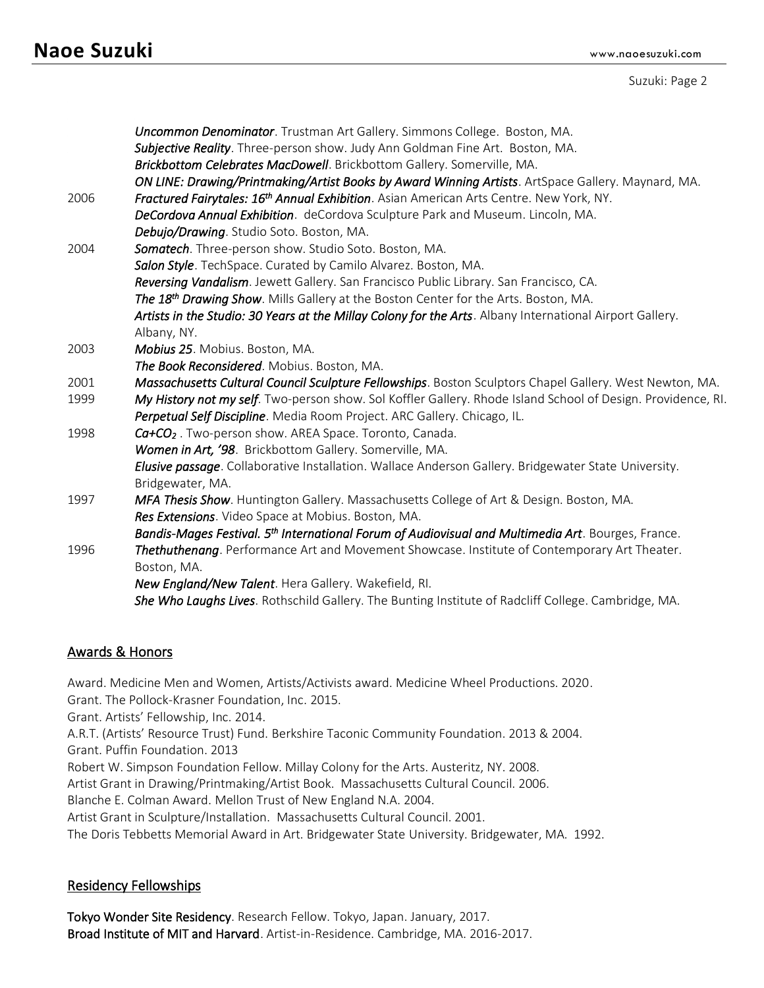# **Naoe Suzuki** www.naoesuzuki.com

Suzuki: Page 2

|                                    | Uncommon Denominator. Trustman Art Gallery. Simmons College. Boston, MA.<br>Subjective Reality. Three-person show. Judy Ann Goldman Fine Art. Boston, MA. |
|------------------------------------|-----------------------------------------------------------------------------------------------------------------------------------------------------------|
|                                    | Brickbottom Celebrates MacDowell. Brickbottom Gallery. Somerville, MA.                                                                                    |
|                                    | ON LINE: Drawing/Printmaking/Artist Books by Award Winning Artists. ArtSpace Gallery. Maynard, MA.                                                        |
| 2006                               | Fractured Fairytales: 16 <sup>th</sup> Annual Exhibition. Asian American Arts Centre. New York, NY.                                                       |
|                                    | DeCordova Annual Exhibition. deCordova Sculpture Park and Museum. Lincoln, MA.                                                                            |
|                                    | Debujo/Drawing. Studio Soto. Boston, MA.                                                                                                                  |
| 2004                               | Somatech. Three-person show. Studio Soto. Boston, MA.                                                                                                     |
|                                    | Salon Style. TechSpace. Curated by Camilo Alvarez. Boston, MA.                                                                                            |
|                                    | Reversing Vandalism. Jewett Gallery. San Francisco Public Library. San Francisco, CA.                                                                     |
|                                    | The 18th Drawing Show. Mills Gallery at the Boston Center for the Arts. Boston, MA.                                                                       |
|                                    | Artists in the Studio: 30 Years at the Millay Colony for the Arts. Albany International Airport Gallery.                                                  |
|                                    | Albany, NY.                                                                                                                                               |
| 2003                               | Mobius 25. Mobius. Boston, MA.                                                                                                                            |
|                                    | The Book Reconsidered. Mobius. Boston, MA.                                                                                                                |
| 2001                               | Massachusetts Cultural Council Sculpture Fellowships. Boston Sculptors Chapel Gallery. West Newton, MA.                                                   |
| 1999                               | My History not my self. Two-person show. Sol Koffler Gallery. Rhode Island School of Design. Providence, RI.                                              |
|                                    | Perpetual Self Discipline. Media Room Project. ARC Gallery. Chicago, IL.                                                                                  |
| 1998                               | Ca+CO <sub>2</sub> . Two-person show. AREA Space. Toronto, Canada.                                                                                        |
|                                    | Women in Art, '98. Brickbottom Gallery. Somerville, MA.                                                                                                   |
|                                    | Elusive passage. Collaborative Installation. Wallace Anderson Gallery. Bridgewater State University.                                                      |
|                                    | Bridgewater, MA.                                                                                                                                          |
| 1997                               | MFA Thesis Show. Huntington Gallery. Massachusetts College of Art & Design. Boston, MA.                                                                   |
|                                    | Res Extensions. Video Space at Mobius. Boston, MA.                                                                                                        |
|                                    | Bandis-Mages Festival. 5th International Forum of Audiovisual and Multimedia Art. Bourges, France.                                                        |
| 1996                               | Thethuthenang. Performance Art and Movement Showcase. Institute of Contemporary Art Theater.                                                              |
|                                    | Boston, MA.                                                                                                                                               |
|                                    | New England/New Talent. Hera Gallery. Wakefield, RI.                                                                                                      |
|                                    | She Who Laughs Lives. Rothschild Gallery. The Bunting Institute of Radcliff College. Cambridge, MA.                                                       |
|                                    |                                                                                                                                                           |
|                                    |                                                                                                                                                           |
| <b>Awards &amp; Honors</b>         |                                                                                                                                                           |
|                                    | Award. Medicine Men and Women, Artists/Activists award. Medicine Wheel Productions. 2020.                                                                 |
|                                    | Grant. The Pollock-Krasner Foundation, Inc. 2015.                                                                                                         |
| Grant Artists' Callowship Inc 2014 |                                                                                                                                                           |

Grant. Artists' Fellowship, Inc. 2014.

A.R.T. (Artists' Resource Trust) Fund. Berkshire Taconic Community Foundation. 2013 & 2004.

Grant. Puffin Foundation. 2013

Robert W. Simpson Foundation Fellow. Millay Colony for the Arts. Austeritz, NY. 2008.

Artist Grant in Drawing/Printmaking/Artist Book. Massachusetts Cultural Council. 2006.

Blanche E. Colman Award. Mellon Trust of New England N.A. 2004.

Artist Grant in Sculpture/Installation. Massachusetts Cultural Council. 2001.

The Doris Tebbetts Memorial Award in Art. Bridgewater State University. Bridgewater, MA. 1992.

# Residency Fellowships

Tokyo Wonder Site Residency. Research Fellow. Tokyo, Japan. January, 2017. Broad Institute of MIT and Harvard. Artist-in-Residence. Cambridge, MA. 2016-2017.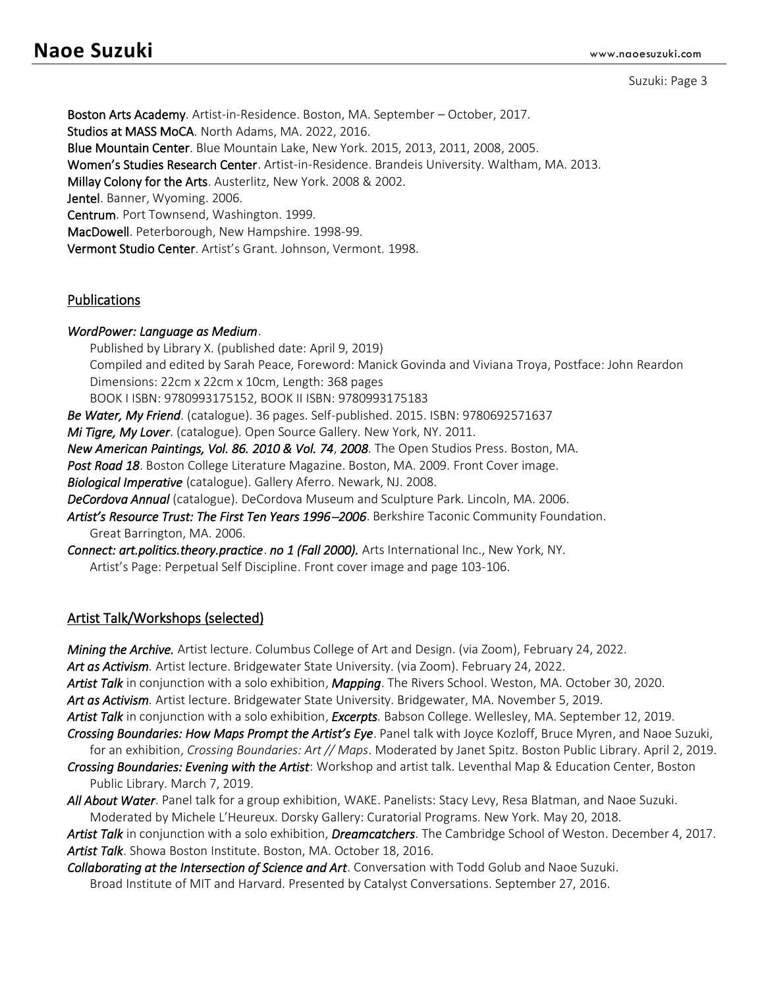```
Suzuki: Page 3
```
Boston Arts Academy. Artist-in-Residence. Boston, MA. September – October, 2017. Studios at MASS MoCA. North Adams, MA. 2022, 2016. Blue Mountain Center. Blue Mountain Lake, New York. 2015, 2013, 2011, 2008, 2005. Women's Studies Research Center. Artist-in-Residence. Brandeis University. Waltham, MA. 2013. Millay Colony for the Arts. Austerlitz, New York. 2008 & 2002. Jentel. Banner, Wyoming. 2006. Centrum. Port Townsend, Washington. 1999. MacDowell. Peterborough, New Hampshire. 1998-99. Vermont Studio Center. Artist's Grant. Johnson, Vermont. 1998.

#### Publications

#### *WordPower: Language as Medium*.

Published by Library X. (published date: April 9, 2019) Compiled and edited by Sarah Peace, Foreword: Manick Govinda and Viviana Troya, Postface: John Reardon Dimensions: 22cm x 22cm x 10cm, Length: 368 pages BOOK I ISBN: 9780993175152, BOOK II ISBN: 9780993175183

*Be Water, My Friend*. (catalogue). 36 pages. Self-published. 2015. ISBN: 9780692571637

*Mi Tigre, My Lover*. (catalogue). Open Source Gallery. New York, NY. 2011.

*New American Paintings, Vol. 86. 2010 & Vol. 74*, *2008*. The Open Studios Press. Boston, MA.

*Post Road 18*. Boston College Literature Magazine. Boston, MA. 2009. Front Cover image.

*Biological Imperative* (catalogue). Gallery Aferro. Newark, NJ. 2008.

*DeCordova Annual* (catalogue). DeCordova Museum and Sculpture Park. Lincoln, MA. 2006.

*Artist's Resource Trust: The First Ten Years 1996*−*2006*. Berkshire Taconic Community Foundation. Great Barrington, MA. 2006.

*Connect: art.politics.theory.practice*. *no 1 (Fall 2000).* Arts International Inc., New York, NY. Artist's Page: Perpetual Self Discipline. Front cover image and page 103-106.

# Artist Talk/Workshops (selected)

*Mining the Archive.* Artist lecture. Columbus College of Art and Design. (via Zoom), February 24, 2022.

*Art as Activism.* Artist lecture. Bridgewater State University. (via Zoom). February 24, 2022.

*Artist Talk* in conjunction with a solo exhibition, *Mapping*. The Rivers School. Weston, MA. October 30, 2020. *Art as Activism.* Artist lecture. Bridgewater State University. Bridgewater, MA. November 5, 2019.

*Artist Talk* in conjunction with a solo exhibition, *Excerpts.* Babson College. Wellesley, MA. September 12, 2019.

*Crossing Boundaries: How Maps Prompt the Artist's Eye*. Panel talk with Joyce Kozloff, Bruce Myren, and Naoe Suzuki,

for an exhibition, *Crossing Boundaries: Art // Maps*. Moderated by Janet Spitz. Boston Public Library. April 2, 2019.

*Crossing Boundaries: Evening with the Artist*: Workshop and artist talk. Leventhal Map & Education Center, Boston Public Library. March 7, 2019.

*All About Water*. Panel talk for a group exhibition, WAKE. Panelists: Stacy Levy, Resa Blatman, and Naoe Suzuki. Moderated by Michele L'Heureux. Dorsky Gallery: Curatorial Programs. New York. May 20, 2018.

*Artist Talk* in conjunction with a solo exhibition, *Dreamcatchers*. The Cambridge School of Weston. December 4, 2017. *Artist Talk*. Showa Boston Institute. Boston, MA. October 18, 2016.

*Collaborating at the Intersection of Science and Art*. Conversation with Todd Golub and Naoe Suzuki. Broad Institute of MIT and Harvard. Presented by Catalyst Conversations. September 27, 2016.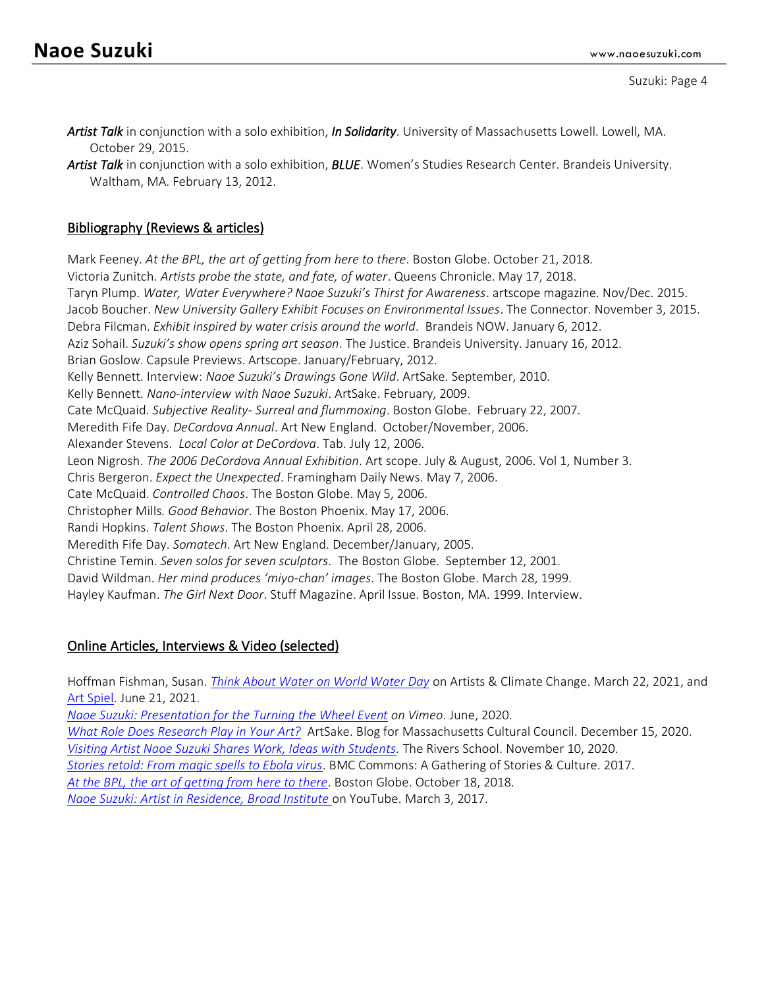*Artist Talk* in conjunction with a solo exhibition, *In Solidarity*. University of Massachusetts Lowell. Lowell, MA. October 29, 2015.

*Artist Talk* in conjunction with a solo exhibition, *BLUE*. Women's Studies Research Center. Brandeis University. Waltham, MA. February 13, 2012.

# Bibliography (Reviews & articles)

Mark Feeney. *At the BPL, the art of getting from here to there*. Boston Globe. October 21, 2018. Victoria Zunitch. *Artists probe the state, and fate, of water*. Queens Chronicle. May 17, 2018. Taryn Plump. *Water, Water Everywhere? Naoe Suzuki's Thirst for Awareness*. artscope magazine. Nov/Dec. 2015. Jacob Boucher. *New University Gallery Exhibit Focuses on Environmental Issues*. The Connector. November 3, 2015. Debra Filcman. *Exhibit inspired by water crisis around the world*. Brandeis NOW. January 6, 2012. Aziz Sohail. *Suzuki's show opens spring art season*. The Justice. Brandeis University. January 16, 2012. Brian Goslow. Capsule Previews. Artscope. January/February, 2012. Kelly Bennett. Interview: *Naoe Suzuki's Drawings Gone Wild*. ArtSake. September, 2010. Kelly Bennett. *Nano-interview with Naoe Suzuki*. ArtSake. February, 2009. Cate McQuaid. *Subjective Reality- Surreal and flummoxing*. Boston Globe. February 22, 2007. Meredith Fife Day. *DeCordova Annual*. Art New England. October/November, 2006. Alexander Stevens. *Local Color at DeCordova*. Tab. July 12, 2006. Leon Nigrosh. *The 2006 DeCordova Annual Exhibition*. Art scope. July & August, 2006. Vol 1, Number 3. Chris Bergeron. *Expect the Unexpected*. Framingham Daily News. May 7, 2006. Cate McQuaid. *Controlled Chaos*. The Boston Globe. May 5, 2006. Christopher Mills. *Good Behavior*. The Boston Phoenix. May 17, 2006. Randi Hopkins. *Talent Shows*. The Boston Phoenix. April 28, 2006. Meredith Fife Day. *Somatech*. Art New England. December/January, 2005. Christine Temin. *Seven solos for seven sculptors*. The Boston Globe. September 12, 2001. David Wildman. *Her mind produces 'miyo-chan' images*. The Boston Globe. March 28, 1999. Hayley Kaufman. *The Girl Next Door*. Stuff Magazine. April Issue. Boston, MA. 1999. Interview.

# Online Articles, Interviews & Video (selected)

Hoffman Fishman, Susan. *[Think About Water on World Water Day](https://artistsandclimatechange.com/2021/03/22/thinking-about-water-on-world-water-day/)* on Artists & Climate Change. March 22, 2021, and [Art Spiel.](https://artspiel.org/thinking-about-water-on-world-water-day/) June 21, 2021. *[Naoe Suzuki: Presentation for the Turning the Wheel Event](https://vimeo.com/434488262) on Vimeo*. June, 2020. *[What Role Does Research Play in Your Art?](https://artsake.massculturalcouncil.org/what-role-does-research-play-in-your-art-2/)* ArtSake. Blog for Massachusetts Cultural Council. December 15, 2020.

*[Visiting Artist Naoe Suzuki Shares Work, Ideas with Students.](https://www.rivers.org/news-detail?pk=1141061)* The Rivers School. November 10, 2020.

*[Stories retold: From magic spells to Ebola virus](https://commons.bluemountaincenter.org/stories-retold-from-magic-spells-to-ebola-virus/)*. BMC Commons: A Gathering of Stories & Culture. 2017.

*At the BPL, the [art of getting from here to there](https://www.bostonglobe.com/arts/art/2018/10/18/bpl-art-getting-from-here-there/Aoif3FY5VwsbuDWuT6s7bN/story.html)*. Boston Globe. October 18, 2018.

*[Naoe Suzuki: Artist in Residence, Broad Institute](https://www.youtube.com/watch?v=PvvP8ThTsQI&t=1s)* on YouTube. March 3, 2017.